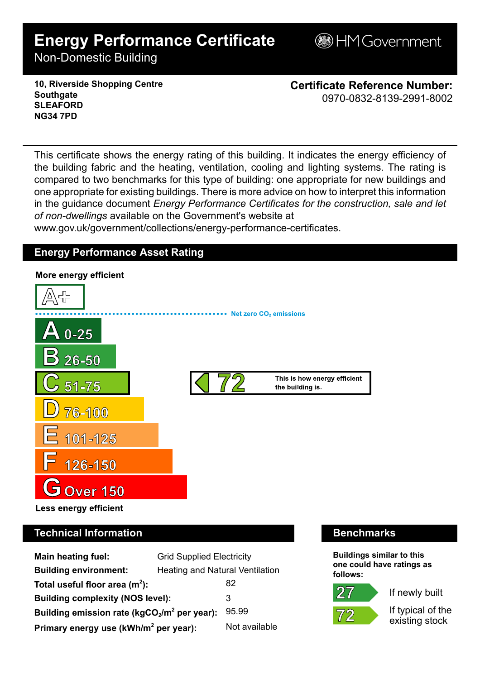# **Energy Performance Certificate**

**B**HM Government

Non-Domestic Building

**10, Riverside Shopping Centre Southgate SLEAFORD NG34 7PD**

**Certificate Reference Number:** 0970-0832-8139-2991-8002

This certificate shows the energy rating of this building. It indicates the energy efficiency of the building fabric and the heating, ventilation, cooling and lighting systems. The rating is compared to two benchmarks for this type of building: one appropriate for new buildings and one appropriate for existing buildings. There is more advice on how to interpret this information in the guidance document *Energy Performance Certificates for the construction, sale and let of non-dwellings* available on the Government's website at

www.gov.uk/government/collections/energy-performance-certificates.

# **Energy Performance Asset Rating**



# **Technical Information Benchmarks**

| <b>Main heating fuel:</b>                               | <b>Grid Supplied Electricity</b>       |               |
|---------------------------------------------------------|----------------------------------------|---------------|
| <b>Building environment:</b>                            | <b>Heating and Natural Ventilation</b> |               |
| Total useful floor area $(m^2)$ :                       |                                        | 82            |
| <b>Building complexity (NOS level):</b>                 |                                        | 3             |
| Building emission rate ( $kgCO2/m2$ per year):<br>95.99 |                                        |               |
| Primary energy use (kWh/m <sup>2</sup> per year):       |                                        | Not available |

**Buildings similar to this one could have ratings as follows:**



If newly built

If typical of the existing stock